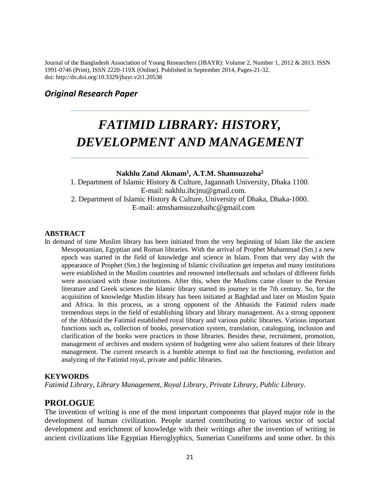Journal of the Bangladesh Association of Young Researchers (JBAYR): Volume 2, Number 1, 2012 & 2013. ISSN 1991-0746 (Print), ISSN 2220-119X (Online). Published in September 2014, Pages-21-32. doi: http://dx.doi.org/10.3329/jbayr.v2i1.20538

# *Original Research Paper*

# *FATIMID LIBRARY: HISTORY, DEVELOPMENT AND MANAGEMENT*

#### **Nakhlu Zatul Akmam<sup>1</sup> , A.T.M. Shamsuzzoha<sup>2</sup>**

1. Department of Islamic History & Culture, Jagannath University, Dhaka 1100. E-mail: nakhlu.ihcjnu@gmail.com. 2. Department of Islamic History & Culture, University of Dhaka, Dhaka-1000. E-mail: atmshamsuzzohaihc@gmail.com

#### **ABSTRACT**

In demand of time Muslim library has been initiated from the very beginning of Islam like the ancient Mesopotamian, Egyptian and Roman libraries. With the arrival of Prophet Muhammad (Sm.) a new epoch was started in the field of knowledge and science in Islam. From that very day with the appearance of Prophet (Sm.) the beginning of Islamic civilization get impetus and many institutions were established in the Muslim countries and renowned intellectuals and scholars of different fields were associated with those institutions. After this, when the Muslims came closer to the Persian literature and Greek sciences the Islamic library started its journey in the 7th century. So, for the acquisition of knowledge Muslim library has been initiated at Baghdad and later on Muslim Spain and Africa. In this process, as a strong opponent of the Abbasids the Fatimid rulers made tremendous steps in the field of establishing library and library management. As a strong opponent of the Abbasid the Fatimid established royal library and various public libraries. Various important functions such as, collection of books, preservation system, translation, cataloguing, inclusion and clarification of the books were practices in those libraries. Besides these, recruitment, promotion, management of archives and modern system of budgeting were also salient features of their library management. The current research is a humble attempt to find out the functioning, evolution and analyzing of the Fatimid royal, private and public libraries.

#### **KEYWORDS**

*Fatimid Library, Library Management, Royal Library, Private Library, Public Library.*

# **PROLOGUE**

The invention of writing is one of the most important components that played major role in the development of human civilization. People started contributing to various sector of social development and enrichment of knowledge with their writings after the invention of writing in ancient civilizations like Egyptian Hieroglyphics, Sumerian Cuneiforms and some other. In this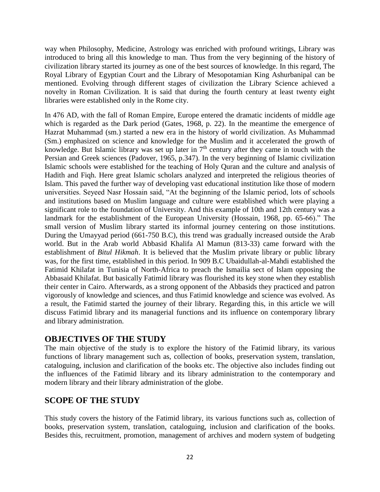way when Philosophy, Medicine, Astrology was enriched with profound writings, Library was introduced to bring all this knowledge to man. Thus from the very beginning of the history of civilization library started its journey as one of the best sources of knowledge. In this regard, The Royal Library of Egyptian Court and the Library of Mesopotamian King Ashurbanipal can be mentioned. Evolving through different stages of civilization the Library Science achieved a novelty in Roman Civilization. It is said that during the fourth century at least twenty eight libraries were established only in the Rome city.

In 476 AD, with the fall of Roman Empire, Europe entered the dramatic incidents of middle age which is regarded as the Dark period (Gates, 1968, p. 22). In the meantime the emergence of Hazrat Muhammad (sm.) started a new era in the history of world civilization. As Muhammad (Sm.) emphasized on science and knowledge for the Muslim and it accelerated the growth of knowledge. But Islamic library was set up later in  $7<sup>th</sup>$  century after they came in touch with the Persian and Greek sciences (Padover, 1965, p.347). In the very beginning of Islamic civilization Islamic schools were established for the teaching of Holy Quran and the culture and analysis of Hadith and Fiqh. Here great Islamic scholars analyzed and interpreted the religious theories of Islam. This paved the further way of developing vast educational institution like those of modern universities. Seyeed Nasr Hossain said, "At the beginning of the Islamic period, lots of schools and institutions based on Muslim language and culture were established which were playing a significant role to the foundation of University. And this example of 10th and 12th century was a landmark for the establishment of the European University (Hossain, 1968, pp. 65-66)." The small version of Muslim library started its informal journey centering on those institutions. During the Umayyad period (661-750 B.C), this trend was gradually increased outside the Arab world. But in the Arab world Abbasid Khalifa Al Mamun (813-33) came forward with the establishment of *Bitul Hikmah*. It is believed that the Muslim private library or public library was, for the first time, established in this period. In 909 B.C Ubaidullah-al-Mahdi established the Fatimid Khilafat in Tunisia of North-Africa to preach the Ismailia sect of Islam opposing the Abbasaid Khilafat. But basically Fatimid library was flourished its key stone when they establish their center in Cairo. Afterwards, as a strong opponent of the Abbasids they practiced and patron vigorously of knowledge and sciences, and thus Fatimid knowledge and science was evolved. As a result, the Fatimid started the journey of their library. Regarding this, in this article we will discuss Fatimid library and its managerial functions and its influence on contemporary library and library administration.

# **OBJECTIVES OF THE STUDY**

The main objective of the study is to explore the history of the Fatimid library, its various functions of library management such as, collection of books, preservation system, translation, cataloguing, inclusion and clarification of the books etc. The objective also includes finding out the influences of the Fatimid library and its library administration to the contemporary and modern library and their library administration of the globe.

# **SCOPE OF THE STUDY**

This study covers the history of the Fatimid library, its various functions such as, collection of books, preservation system, translation, cataloguing, inclusion and clarification of the books. Besides this, recruitment, promotion, management of archives and modern system of budgeting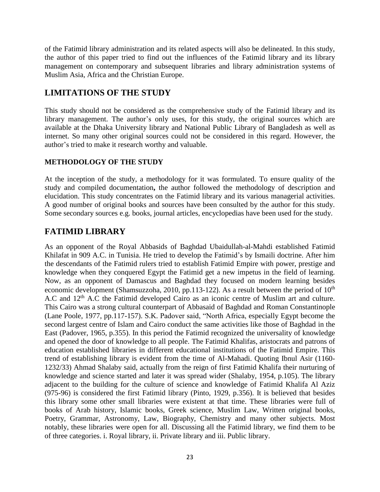of the Fatimid library administration and its related aspects will also be delineated. In this study, the author of this paper tried to find out the influences of the Fatimid library and its library management on contemporary and subsequent libraries and library administration systems of Muslim Asia, Africa and the Christian Europe.

# **LIMITATIONS OF THE STUDY**

This study should not be considered as the comprehensive study of the Fatimid library and its library management. The author's only uses, for this study, the original sources which are available at the Dhaka University library and National Public Library of Bangladesh as well as internet. So many other original sources could not be considered in this regard. However, the author's tried to make it research worthy and valuable.

## **METHODOLOGY OF THE STUDY**

At the inception of the study, a methodology for it was formulated. To ensure quality of the study and compiled documentation**,** the author followed the methodology of description and elucidation. This study concentrates on the Fatimid library and its various managerial activities. A good number of original books and sources have been consulted by the author for this study. Some secondary sources e.g. books, journal articles, encyclopedias have been used for the study.

# **FATIMID LIBRARY**

As an opponent of the Royal Abbasids of Baghdad Ubaidullah-al-Mahdi established Fatimid Khilafat in 909 A.C. in Tunisia. He tried to develop the Fatimid's by Ismaili doctrine. After him the descendants of the Fatimid rulers tried to establish Fatimid Empire with power, prestige and knowledge when they conquered Egypt the Fatimid get a new impetus in the field of learning. Now, as an opponent of Damascus and Baghdad they focused on modern learning besides economic development (Shamsuzzoha, 2010, pp.113-122). As a result between the period of  $10^{th}$ A.C and 12<sup>th</sup> A.C the Fatimid developed Cairo as an iconic centre of Muslim art and culture. This Cairo was a strong cultural counterpart of Abbasaid of Baghdad and Roman Constantinople (Lane Poole, 1977, pp.117-157). S.K. Padover said, "North Africa, especially Egypt become the second largest centre of Islam and Cairo conduct the same activities like those of Baghdad in the East (Padover, 1965, p.355). In this period the Fatimid recognized the universality of knowledge and opened the door of knowledge to all people. The Fatimid Khalifas, aristocrats and patrons of education established libraries in different educational institutions of the Fatimid Empire. This trend of establishing library is evident from the time of Al-Mahadi. Quoting Ibnul Asir (1160- 1232/33) Ahmad Shalaby said, actually from the reign of first Fatimid Khalifa their nurturing of knowledge and science started and later it was spread wider (Shalaby, 1954, p.105). The library adjacent to the building for the culture of science and knowledge of Fatimid Khalifa Al Aziz (975-96) is considered the first Fatimid library (Pinto, 1929, p.356). It is believed that besides this library some other small libraries were existent at that time. These libraries were full of books of Arab history, Islamic books, Greek science, Muslim Law, Written original books, Poetry, Grammar, Astronomy, Law, Biography, Chemistry and many other subjects. Most notably, these libraries were open for all. Discussing all the Fatimid library, we find them to be of three categories. i. Royal library, ii. Private library and iii. Public library.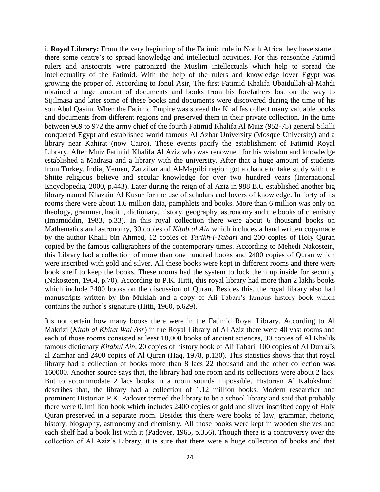i. **Royal Library:** From the very beginning of the Fatimid rule in North Africa they have started there some centre's to spread knowledge and intellectual activities. For this reasonthe Fatimid rulers and aristocrats were patronized the Muslim intellectuals which help to spread the intellectuality of the Fatimid. With the help of the rulers and knowledge lover Egypt was growing the proper of. According to Ibnul Asir, The first Fatimid Khalifa Ubaidullah-al-Mahdi obtained a huge amount of documents and books from his forefathers lost on the way to Sijilmasa and later some of these books and documents were discovered during the time of his son Abul Qasim. When the Fatimid Empire was spread the Khalifas collect many valuable books and documents from different regions and preserved them in their private collection. In the time between 969 to 972 the army chief of the fourth Fatimid Khalifa Al Muiz (952-75) general Sikilli conquered Egypt and established world famous Al Azhar University (Mosque University) and a library near Kahirat (now Cairo). These events pacify the establishment of Fatimid Royal Library. After Muiz Fatimid Khalifa Al Aziz who was renowned for his wisdom and knowledge established a Madrasa and a library with the university. After that a huge amount of students from Turkey, India, Yemen, Zanzibar and Al-Magribi region got a chance to take study with the Shiite religious believe and secular knowledge for over two hundred years (International Encyclopedia, 2000, p.443). Later during the reign of al Aziz in 988 B.C established another big library named Khazain Al Kusur for the use of scholars and lovers of knowledge. In forty of its rooms there were about 1.6 million data, pamphlets and books. More than 6 million was only on theology, grammar, hadith, dictionary, history, geography, astronomy and the books of chemistry (Imamuddin, 1983, p.33). In this royal collection there were about 6 thousand books on Mathematics and astronomy, 30 copies of *Kitab al Ain* which includes a hand written copymade by the author Khalil bin Ahmed, 12 copies of *Tarikh-i-Tabari* and 200 copies of Holy Quran copied by the famous calligraphers of the contemporary times. According to Mehedi Nakostein, this Library had a collection of more than one hundred books and 2400 copies of Quran which were inscribed with gold and silver. All these books were kept in different rooms and there were book shelf to keep the books. These rooms had the system to lock them up inside for security (Nakosteen, 1964, p.70). According to P.K. Hitti, this royal library had more than 2 lakhs books which include 2400 books on the discussion of Quran. Besides this, the royal library also had manuscripts written by Ibn Muklah and a copy of Ali Tabari's famous history book which contains the author's signature (Hitti, 1960, p.629).

Itis not certain how many books there were in the Fatimid Royal Library. According to Al Makrizi (*Kitab al Khitat Wal Asr*) in the Royal Library of Al Aziz there were 40 vast rooms and each of those rooms consisted at least 18,000 books of ancient sciences, 30 copies of Al Khalils famous dictionary *Kitabul Ain*, 20 copies of history book of Ali Tabari, 100 copies of Al Durrai's al Zamhar and 2400 copies of Al Quran (Haq, 1978, p.130). This statistics shows that that royal library had a collection of books more than 8 lacs 22 thousand and the other collection was 160000. Another source says that, the library had one room and its collections were about 2 lacs. But to accommodate 2 lacs books in a room sounds impossible. Historian Al Kalokshindi describes that, the library had a collection of 1.12 million books. Modern researcher and prominent Historian P.K. Padover termed the library to be a school library and said that probably there were 0.1million book which includes 2400 copies of gold and silver inscribed copy of Holy Quran preserved in a separate room. Besides this there were books of law, grammar, rhetoric, history, biography, astronomy and chemistry. All those books were kept in wooden shelves and each shelf had a book list with it (Padover, 1965, p.356). Though there is a controversy over the collection of Al Aziz's Library, it is sure that there were a huge collection of books and that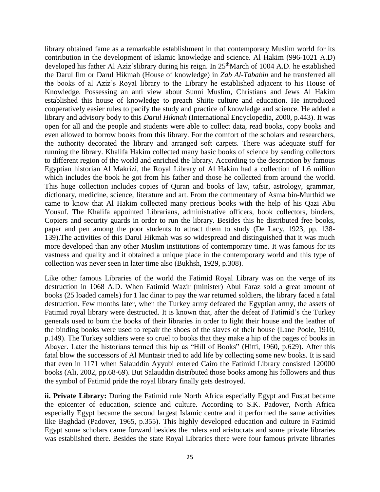library obtained fame as a remarkable establishment in that contemporary Muslim world for its contribution in the development of Islamic knowledge and science. Al Hakim (996-1021 A.D) developed his father Al Aziz'slibrary during his reign. In 25<sup>th</sup>March of 1004 A.D. he established the Darul Ilm or Darul Hikmah (House of knowledge) in *Zab Al-Tababin* and he transferred all the books of al Aziz's Royal library to the Library he established adjacent to his House of Knowledge. Possessing an anti view about Sunni Muslim, Christians and Jews Al Hakim established this house of knowledge to preach Shiite culture and education. He introduced cooperatively easier rules to pacify the study and practice of knowledge and science. He added a library and advisory body to this *Darul Hikmah* (International Encyclopedia, 2000, p.443). It was open for all and the people and students were able to collect data, read books, copy books and even allowed to borrow books from this library. For the comfort of the scholars and researchers, the authority decorated the library and arranged soft carpets. There was adequate stuff for running the library. Khalifa Hakim collected many basic books of science by sending collectors to different region of the world and enriched the library. According to the description by famous Egyptian historian Al Makrizi, the Royal Library of Al Hakim had a collection of 1.6 million which includes the book he got from his father and those he collected from around the world. This huge collection includes copies of Quran and books of law, tafsir, astrology, grammar, dictionary, medicine, science, literature and art. From the commentary of Asma bin-Murthid we came to know that Al Hakim collected many precious books with the help of his Qazi Abu Yousuf. The Khalifa appointed Librarians, administrative officers, book collectors, binders, Copiers and security guards in order to run the library. Besides this he distributed free books, paper and pen among the poor students to attract them to study (De Lacy, 1923, pp. 138- 139).The activities of this Darul Hikmah was so widespread and distinguished that it was much more developed than any other Muslim institutions of contemporary time. It was famous for its vastness and quality and it obtained a unique place in the contemporary world and this type of collection was never seen in later time also (Bukhsh, 1929, p.308).

Like other famous Libraries of the world the Fatimid Royal Library was on the verge of its destruction in 1068 A.D. When Fatimid Wazir (minister) Abul Faraz sold a great amount of books (25 loaded camels) for 1 lac dinar to pay the war returned soldiers, the library faced a fatal destruction. Few months later, when the Turkey army defeated the Egyptian army, the assets of Fatimid royal library were destructed. It is known that, after the defeat of Fatimid's the Turkey generals used to burn the books of their libraries in order to light their house and the leather of the binding books were used to repair the shoes of the slaves of their house (Lane Poole, 1910, p.149). The Turkey soldiers were so cruel to books that they make a hip of the pages of books in Abayer. Later the historians termed this hip as "Hill of Books" (Hitti, 1960, p.629). After this fatal blow the successors of Al Muntasir tried to add life by collecting some new books. It is said that even in 1171 when Salauddin Ayyubi entered Cairo the Fatimid Library consisted 120000 books (Ali, 2002, pp.68-69). But Salauddin distributed those books among his followers and thus the symbol of Fatimid pride the royal library finally gets destroyed.

**ii. Private Library:** During the Fatimid rule North Africa especially Egypt and Fustat became the epicenter of education, science and culture. According to S.K. Padover, North Africa especially Egypt became the second largest Islamic centre and it performed the same activities like Baghdad (Padover, 1965, p.355). This highly developed education and culture in Fatimid Egypt some scholars came forward besides the rulers and aristocrats and some private libraries was established there. Besides the state Royal Libraries there were four famous private libraries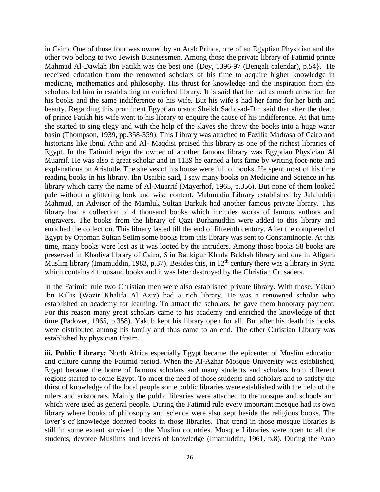in Cairo. One of those four was owned by an Arab Prince, one of an Egyptian Physician and the other two belong to two Jewish Businessmen. Among those the private library of Fatimid prince Mahmud Al-Dawlah Ibn Fatikh was the best one {Dey, 1396-97 (Bengali calendar), p.54}. He received education from the renowned scholars of his time to acquire higher knowledge in medicine, mathematics and philosophy. His thrust for knowledge and the inspiration from the scholars led him in establishing an enriched library. It is said that he had as much attraction for his books and the same indifference to his wife. But his wife's had her fame for her birth and beauty. Regarding this prominent Egyptian orator Sheikh Sadid-ad-Din said that after the death of prince Fatikh his wife went to his library to enquire the cause of his indifference. At that time she started to sing elegy and with the help of the slaves she threw the books into a huge water basin (Thompson, 1939, pp.358-359). This Library was attached to Fazilia Madrasa of Cairo and historians like Ibnul Athir and Al- Maqdisi praised this library as one of the richest libraries of Egypt. In the Fatimid reign the owner of another famous library was Egyptian Physician Al Muarrif. He was also a great scholar and in 1139 he earned a lots fame by writing foot-note and explanations on Aristotle. The shelves of his house were full of books. He spent most of his time reading books in his library. Ibn Usaibia said, I saw many books on Medicine and Science in his library which carry the name of Al-Muarrif (Mayerhof, 1965, p.356). But none of them looked pale without a glittering look and wise content. Mahmudia Library established by Jalaluddin Mahmud, an Advisor of the Mamluk Sultan Barkuk had another famous private library. This library had a collection of 4 thousand books which includes works of famous authors and engravers. The books from the library of Qazi Burhanuddin were added to this library and enriched the collection. This library lasted till the end of fifteenth century. After the conquered of Egypt by Ottoman Sultan Selim some books from this library was sent to Constantinople. At this time, many books were lost as it was looted by the intruders. Among those books 58 books are preserved in Khadiva library of Cairo, 6 in Bankipur Khuda Bukhsh library and one in Aligarh Muslim library (Imamuddin, 1983, p.37). Besides this, in  $12<sup>th</sup>$  century there was a library in Syria which contains 4 thousand books and it was later destroyed by the Christian Crusaders.

In the Fatimid rule two Christian men were also established private library. With those, Yakub Ibn Killis (Wazir Khalifa Al Aziz) had a rich library. He was a renowned scholar who established an academy for learning. To attract the scholars, he gave them honorary payment. For this reason many great scholars came to his academy and enriched the knowledge of that time (Padover, 1965, p.358). Yakub kept his library open for all. But after his death his books were distributed among his family and thus came to an end. The other Christian Library was established by physician Ifraim.

**iii. Public Library:** North Africa especially Egypt became the epicenter of Muslim education and culture during the Fatimid period. When the Al-Azhar Mosque University was established, Egypt became the home of famous scholars and many students and scholars from different regions started to come Egypt. To meet the need of those students and scholars and to satisfy the thirst of knowledge of the local people some public libraries were established with the help of the rulers and aristocrats. Mainly the public libraries were attached to the mosque and schools and which were used as general people. During the Fatimid rule every important mosque had its own library where books of philosophy and science were also kept beside the religious books. The lover's of knowledge donated books in those libraries. That trend in those mosque libraries is still in some extent survived in the Muslim countries. Mosque Libraries were open to all the students, devotee Muslims and lovers of knowledge (Imamuddin, 1961, p.8). During the Arab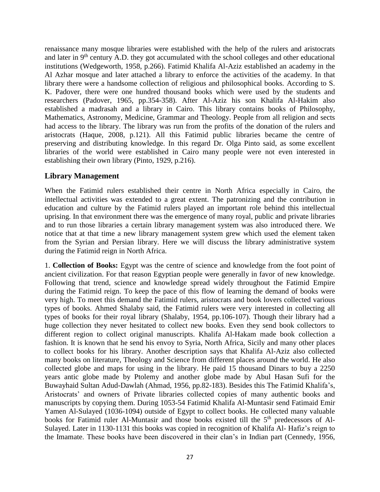renaissance many mosque libraries were established with the help of the rulers and aristocrats and later in  $9<sup>th</sup>$  century A.D. they got accumulated with the school colleges and other educational institutions (Wedgeworth, 1958, p.266). Fatimid Khalifa Al-Aziz established an academy in the Al Azhar mosque and later attached a library to enforce the activities of the academy. In that library there were a handsome collection of religious and philosophical books. According to S. K. Padover, there were one hundred thousand books which were used by the students and researchers (Padover, 1965, pp.354-358). After Al-Aziz his son Khalifa Al-Hakim also established a madrasah and a library in Cairo. This library contains books of Philosophy, Mathematics, Astronomy, Medicine, Grammar and Theology. People from all religion and sects had access to the library. The library was run from the profits of the donation of the rulers and aristocrats (Haque, 2008, p.121). All this Fatimid public libraries became the centre of preserving and distributing knowledge. In this regard Dr. Olga Pinto said, as some excellent libraries of the world were established in Cairo many people were not even interested in establishing their own library (Pinto, 1929, p.216).

## **Library Management**

When the Fatimid rulers established their centre in North Africa especially in Cairo, the intellectual activities was extended to a great extent. The patronizing and the contribution in education and culture by the Fatimid rulers played an important role behind this intellectual uprising. In that environment there was the emergence of many royal, public and private libraries and to run those libraries a certain library management system was also introduced there. We notice that at that time a new library management system grew which used the element taken from the Syrian and Persian library. Here we will discuss the library administrative system during the Fatimid reign in North Africa.

1. **Collection of Books:** Egypt was the centre of science and knowledge from the foot point of ancient civilization. For that reason Egyptian people were generally in favor of new knowledge. Following that trend, science and knowledge spread widely throughout the Fatimid Empire during the Fatimid reign. To keep the pace of this flow of learning the demand of books were very high. To meet this demand the Fatimid rulers, aristocrats and book lovers collected various types of books. Ahmed Shalaby said, the Fatimid rulers were very interested in collecting all types of books for their royal library (Shalaby, 1954, pp.106-107). Though their library had a huge collection they never hesitated to collect new books. Even they send book collectors to different region to collect original manuscripts. Khalifa Al-Hakam made book collection a fashion. It is known that he send his envoy to Syria, North Africa, Sicily and many other places to collect books for his library. Another description says that Khalifa Al-Aziz also collected many books on literature, Theology and Science from different places around the world. He also collected globe and maps for using in the library. He paid 15 thousand Dinars to buy a 2250 years antic globe made by Ptolemy and another globe made by Abul Hasan Sufi for the Buwayhaid Sultan Adud-Dawlah (Ahmad, 1956, pp.82-183). Besides this The Fatimid Khalifa's, Aristocrats' and owners of Private libraries collected copies of many authentic books and manuscripts by copying them. During 1053-54 Fatimid Khalifa Al-Muntasir send Fatimaid Emir Yamen Al-Sulayed (1036-1094) outside of Egypt to collect books. He collected many valuable books for Fatimid ruler Al-Muntasir and those books existed till the 5<sup>th</sup> predecessors of Al-Sulayed. Later in 1130-1131 this books was copied in recognition of Khalifa Al- Hafiz's reign to the Imamate. These books have been discovered in their clan's in Indian part (Cennedy, 1956,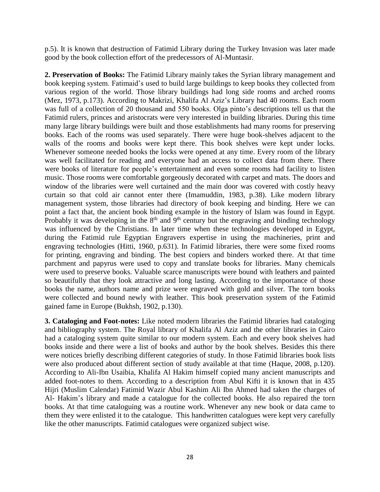p.5). It is known that destruction of Fatimid Library during the Turkey Invasion was later made good by the book collection effort of the predecessors of Al-Muntasir.

 **2. Preservation of Books:** The Fatimid Library mainly takes the Syrian library management and book keeping system. Fatimaid's used to build large buildings to keep books they collected from various region of the world. Those library buildings had long side rooms and arched rooms (Mez, 1973, p.173). According to Makrizi, Khalifa Al Aziz's Library had 40 rooms. Each room was full of a collection of 20 thousand and 550 books. Olga pinto's descriptions tell us that the Fatimid rulers, princes and aristocrats were very interested in building libraries. During this time many large library buildings were built and those establishments had many rooms for preserving books. Each of the rooms was used separately. There were huge book-shelves adjacent to the walls of the rooms and books were kept there. This book shelves were kept under locks. Whenever someone needed books the locks were opened at any time. Every room of the library was well facilitated for reading and everyone had an access to collect data from there. There were books of literature for people's entertainment and even some rooms had facility to listen music. Those rooms were comfortable gorgeously decorated with carpet and mats. The doors and window of the libraries were well curtained and the main door was covered with costly heavy curtain so that cold air cannot enter there (Imamuddin, 1983, p.38). Like modern library management system, those libraries had directory of book keeping and binding. Here we can point a fact that, the ancient book binding example in the history of Islam was found in Egypt. Probably it was developing in the  $8<sup>th</sup>$  and  $9<sup>th</sup>$  century but the engraving and binding technology was influenced by the Christians. In later time when these technologies developed in Egypt, during the Fatimid rule Egyptian Engravers expertise in using the machineries, print and engraving technologies (Hitti, 1960, p.631). In Fatimid libraries, there were some fixed rooms for printing, engraving and binding. The best copiers and binders worked there. At that time parchment and papyrus were used to copy and translate books for libraries. Many chemicals were used to preserve books. Valuable scarce manuscripts were bound with leathers and painted so beautifully that they look attractive and long lasting. According to the importance of those books the name, authors name and prize were engraved with gold and silver. The torn books were collected and bound newly with leather. This book preservation system of the Fatimid gained fame in Europe (Bukhsh, 1902, p.130).

**3. Cataloging and Foot-notes:** Like noted modern libraries the Fatimid libraries had cataloging and bibliography system. The Royal library of Khalifa Al Aziz and the other libraries in Cairo had a cataloging system quite similar to our modern system. Each and every book shelves had books inside and there were a list of books and author by the book shelves. Besides this there were notices briefly describing different categories of study. In those Fatimid libraries book lists were also produced about different section of study available at that time (Haque, 2008, p.120). According to Ali-Ibn Usaibia, Khalifa Al Hakim himself copied many ancient manuscripts and added foot-notes to them. According to a description from Abul Kifti it is known that in 435 Hijri (Muslim Calendar) Fatimid Wazir Abul Kashim Ali Ibn Ahmed had taken the charges of Al- Hakim's library and made a catalogue for the collected books. He also repaired the torn books. At that time cataloguing was a routine work. Whenever any new book or data came to them they were enlisted it to the catalogue. This handwritten catalogues were kept very carefully like the other manuscripts. Fatimid catalogues were organized subject wise.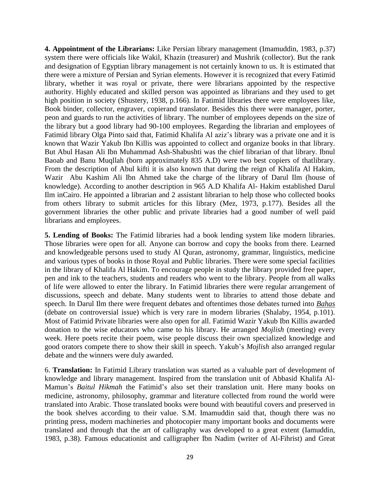**4. Appointment of the Librarians:** Like Persian library management (Imamuddin, 1983, p.37) system there were officials like Wakil, Khazin (treasurer) and Mushrik (collector). But the rank and designation of Egyptian library management is not certainly known to us. It is estimated that there were a mixture of Persian and Syrian elements. However it is recognized that every Fatimid library, whether it was royal or private, there were librarians appointed by the respective authority. Highly educated and skilled person was appointed as librarians and they used to get high position in society (Shustery, 1938, p.166). In Fatimid libraries there were employees like, Book binder, collector, engraver, copierand translator. Besides this there were manager, porter, peon and guards to run the activities of library. The number of employees depends on the size of the library but a good library had 90-100 employees. Regarding the librarian and employees of Fatimid library Olga Pinto said that, Fatimid Khalifa Al aziz's library was a private one and it is known that Wazir Yakub Ibn Killis was appointed to collect and organize books in that library. But Abul Hasan Ali Ibn Muhammad Ash-Shabushti was the chief librarian of that library. Ibnul Baoab and Banu Muqllah (born approximately 835 A.D) were two best copiers of thatlibrary. From the description of Abul kifti it is also known that during the reign of Khalifa Al Hakim, Wazir Abu Kashim Ali Ibn Ahmed take the charge of the library of Darul Ilm (house of knowledge). According to another description in 965 A.D Khalifa Al- Hakim established Darul Ilm inCairo. He appointed a librarian and 2 assistant librarian to help those who collected books from others library to submit articles for this library (Mez, 1973, p.177). Besides all the government libraries the other public and private libraries had a good number of well paid librarians and employees.

**5. Lending of Books:** The Fatimid libraries had a book lending system like modern libraries. Those libraries were open for all. Anyone can borrow and copy the books from there. Learned and knowledgeable persons used to study Al Quran, astronomy, grammar, linguistics, medicine and various types of books in those Royal and Public libraries. There were some special facilities in the library of Khalifa Al Hakim. To encourage people in study the library provided free paper, pen and ink to the teachers, students and readers who went to the library. People from all walks of life were allowed to enter the library. In Fatimid libraries there were regular arrangement of discussions, speech and debate. Many students went to libraries to attend those debate and speech. In Darul Ilm there were frequent debates and oftentimes those debates turned into *Bahas* (debate on controversial issue) which is very rare in modern libraries (Shalaby, 1954, p.101). Most of Fatimid Private libraries were also open for all. Fatimid Wazir Yakub Ibn Killis awarded donation to the wise educators who came to his library. He arranged *Mojlish* (meeting) every week. Here poets recite their poem, wise people discuss their own specialized knowledge and good orators compete there to show their skill in speech. Yakub's *Mojlish* also arranged regular debate and the winners were duly awarded.

6. **Translation:** In Fatimid Library translation was started as a valuable part of development of knowledge and library management. Inspired from the translation unit of Abbasid Khalifa Al-Mamun's *Baitul Hikmah* the Fatimid's also set their translation unit. Here many books on medicine, astronomy, philosophy, grammar and literature collected from round the world were translated into Arabic. Those translated books were bound with beautiful covers and preserved in the book shelves according to their value. S.M. Imamuddin said that, though there was no printing press, modern machineries and photocopier many important books and documents were translated and through that the art of calligraphy was developed to a great extent (Iamuddin, 1983, p.38). Famous educationist and calligrapher Ibn Nadim (writer of Al-Fihrist) and Great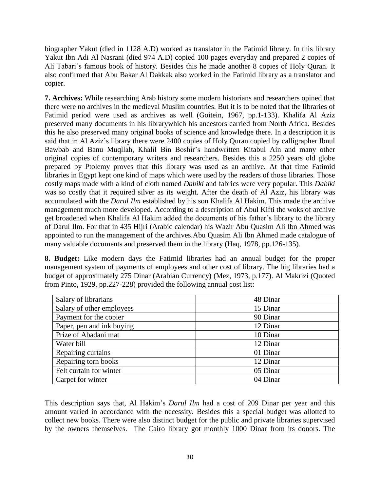biographer Yakut (died in 1128 A.D) worked as translator in the Fatimid library. In this library Yakut Ibn Adi Al Nasrani (died 974 A.D) copied 100 pages everyday and prepared 2 copies of Ali Tabari's famous book of history. Besides this he made another 8 copies of Holy Quran. It also confirmed that Abu Bakar Al Dakkak also worked in the Fatimid library as a translator and copier.

**7. Archives:** While researching Arab history some modern historians and researchers opined that there were no archives in the medieval Muslim countries. But it is to be noted that the libraries of Fatimid period were used as archives as well (Goitein, 1967, pp.1-133). Khalifa Al Aziz preserved many documents in his librarywhich his ancestors carried from North Africa. Besides this he also preserved many original books of science and knowledge there. In a description it is said that in Al Aziz's library there were 2400 copies of Holy Quran copied by calligrapher Ibnul Bawbab and Banu Muqllah, Khalil Bin Boshir's handwritten Kitabul Ain and many other original copies of contemporary writers and researchers. Besides this a 2250 years old globe prepared by Ptolemy proves that this library was used as an archive. At that time Fatimid libraries in Egypt kept one kind of maps which were used by the readers of those libraries. Those costly maps made with a kind of cloth named *Dabiki* and fabrics were very popular. This *Dabiki* was so costly that it required silver as its weight. After the death of Al Aziz, his library was accumulated with the *Darul Ilm* established by his son Khalifa Al Hakim. This made the archive management much more developed. According to a description of Abul Kifti the woks of archive get broadened when Khalifa Al Hakim added the documents of his father's library to the library of Darul Ilm. For that in 435 Hijri (Arabic calendar) his Wazir Abu Quasim Ali Ibn Ahmed was appointed to run the management of the archives.Abu Quasim Ali Ibn Ahmed made catalogue of many valuable documents and preserved them in the library (Haq, 1978, pp.126-135).

**8. Budget:** Like modern days the Fatimid libraries had an annual budget for the proper management system of payments of employees and other cost of library. The big libraries had a budget of approximately 275 Dinar (Arabian Currency) (Mez, 1973, p.177). Al Makrizi (Quoted from Pinto, 1929, pp.227-228) provided the following annual cost list:

| Salary of librarians      | 48 Dinar |
|---------------------------|----------|
| Salary of other employees | 15 Dinar |
| Payment for the copier    | 90 Dinar |
| Paper, pen and ink buying | 12 Dinar |
| Prize of Abadani mat      | 10 Dinar |
| Water bill                | 12 Dinar |
| Repairing curtains        | 01 Dinar |
| Repairing torn books      | 12 Dinar |
| Felt curtain for winter   | 05 Dinar |
| Carpet for winter         | 04 Dinar |

This description says that, Al Hakim's *Darul Ilm* had a cost of 209 Dinar per year and this amount varied in accordance with the necessity. Besides this a special budget was allotted to collect new books. There were also distinct budget for the public and private libraries supervised by the owners themselves. The Cairo library got monthly 1000 Dinar from its donors. The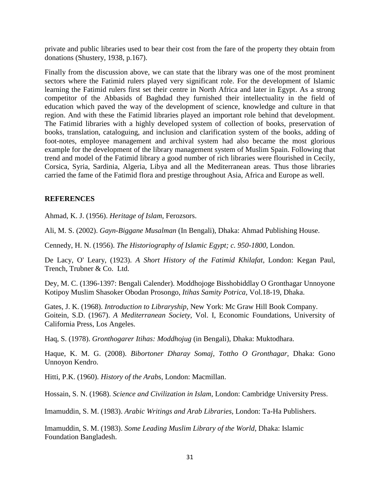private and public libraries used to bear their cost from the fare of the property they obtain from donations (Shustery, 1938, p.167).

Finally from the discussion above, we can state that the library was one of the most prominent sectors where the Fatimid rulers played very significant role. For the development of Islamic learning the Fatimid rulers first set their centre in North Africa and later in Egypt. As a strong competitor of the Abbasids of Baghdad they furnished their intellectuality in the field of education which paved the way of the development of science, knowledge and culture in that region. And with these the Fatimid libraries played an important role behind that development. The Fatimid libraries with a highly developed system of collection of books, preservation of books, translation, cataloguing, and inclusion and clarification system of the books, adding of foot-notes, employee management and archival system had also became the most glorious example for the development of the library management system of Muslim Spain. Following that trend and model of the Fatimid library a good number of rich libraries were flourished in Cecily, Corsica, Syria, Sardinia, Algeria, Libya and all the Mediterranean areas. Thus those libraries carried the fame of the Fatimid flora and prestige throughout Asia, Africa and Europe as well.

### **REFERENCES**

Ahmad, K. J. (1956). *Heritage of Islam,* Ferozsors.

Ali, M. S. (2002). *Gayn-Biggane Musalman* (In Bengali), Dhaka: Ahmad Publishing House.

Cennedy, H. N. (1956). *The Historiography of Islamic Egypt; c. 950-1800*, London.

De Lacy, O' Leary, (1923). *A Short History of the Fatimid Khilafat*, London: Kegan Paul, Trench, Trubner & Co. Ltd.

Dey, M. C. (1396-1397: Bengali Calender). Moddhojoge Bisshobiddlay O Gronthagar Unnoyone Kotipoy Muslim Shasoker Obodan Prosongo, *Itihas Samity Potrica,* Vol.18-19, Dhaka.

Gates, J. K. (1968). *Introduction to Libraryship*, New York: Mc Graw Hill Book Company. Goitein, S.D. (1967). *A Mediterranean Society,* Vol. I, Economic Foundations, University of California Press, Los Angeles.

Haq, S. (1978). *Gronthogarer Itihas: Moddhojug* (in Bengali), Dhaka: Muktodhara.

Haque, K. M. G. (2008). *Bibortoner Dharay Somaj, Tottho O Gronthagar,* Dhaka: Gono Unnoyon Kendro.

Hitti, P.K. (1960). *History of the Arabs*, London: Macmillan.

Hossain, S. N. (1968). *Science and Civilization in Islam*, London: Cambridge University Press.

Imamuddin, S. M. (1983). *Arabic Writings and Arab Libraries,* London: Ta-Ha Publishers.

Imamuddin, S. M. (1983). *Some Leading Muslim Library of the World*, Dhaka: Islamic Foundation Bangladesh.